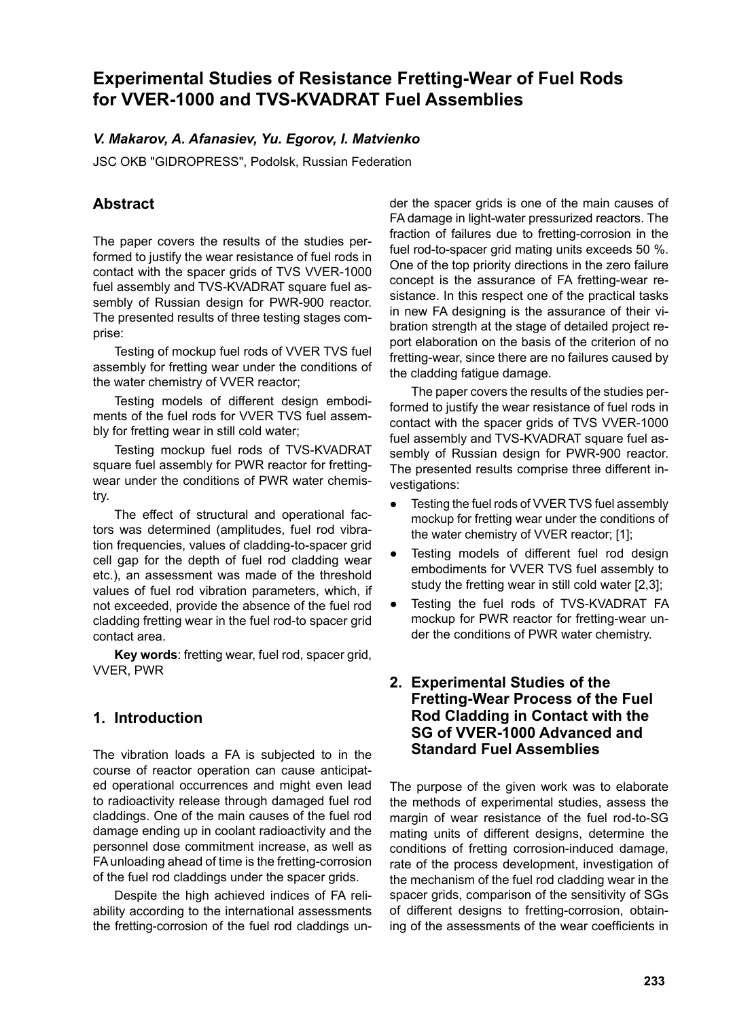# **Experimental Studies of Resistance Fretting-Wear of Fuel Rods for VVER-1000 and TVS-KVADRAT Fuel Assemblies**

#### *V. Makarov, A. Afanasiev, Yu. Egorov, I. Matvienko*

JSC OKB "GIDROPRESS", Podolsk, Russian Federation

# **Abstract**

The paper covers the results of the studies performed to justify the wear resistance of fuel rods in contact with the spacer grids of TVS VVER-1000 fuel assembly and TVS-KVADRAT square fuel assembly of Russian design for PWR-900 reactor. The presented results of three testing stages comprise:

Testing of mockup fuel rods of VVER TVS fuel assembly for fretting wear under the conditions of the water chemistry of VVER reactor;

Testing models of different design embodiments of the fuel rods for VVER TVS fuel assembly for fretting wear in still cold water;

Testing mockup fuel rods of TVS-KVADRAT square fuel assembly for PWR reactor for frettingwear under the conditions of PWR water chemistry.

The effect of structural and operational factors was determined (amplitudes, fuel rod vibration frequencies, values of cladding-to-spacer grid cell gap for the depth of fuel rod cladding wear etc.), an assessment was made of the threshold values of fuel rod vibration parameters, which, if not exceeded, provide the absence of the fuel rod cladding fretting wear in the fuel rod-to spacer grid contact area.

**Key words**: fretting wear, fuel rod, spacer grid, VVER, PWR

# **1. Introduction**

The vibration loads a FA is subjected to in the course of reactor operation can cause anticipated operational occurrences and might even lead to radioactivity release through damaged fuel rod claddings. One of the main causes of the fuel rod damage ending up in coolant radioactivity and the personnel dose commitment increase, as well as FA unloading ahead of time is the fretting-corrosion of the fuel rod claddings under the spacer grids.

Despite the high achieved indices of FA reliability according to the international assessments the fretting-corrosion of the fuel rod claddings under the spacer grids is one of the main causes of FA damage in light-water pressurized reactors. The fraction of failures due to fretting-corrosion in the fuel rod-to-spacer grid mating units exceeds 50 %. One of the top priority directions in the zero failure concept is the assurance of FA fretting-wear resistance. In this respect one of the practical tasks in new FA designing is the assurance of their vibration strength at the stage of detailed project report elaboration on the basis of the criterion of no fretting-wear, since there are no failures caused by the cladding fatigue damage.

The paper covers the results of the studies performed to justify the wear resistance of fuel rods in contact with the spacer grids of TVS VVER-1000 fuel assembly and TVS-KVADRAT square fuel assembly of Russian design for PWR-900 reactor. The presented results comprise three different investigations:

- Testing the fuel rods of VVER TVS fuel assembly mockup for fretting wear under the conditions of the water chemistry of VVER reactor; [1];
- Testing models of different fuel rod design embodiments for VVER TVS fuel assembly to study the fretting wear in still cold water [2,3];
- Testing the fuel rods of TVS-KVADRAT FA mockup for PWR reactor for fretting-wear under the conditions of PWR water chemistry.

#### **2. Experimental Studies of the Fretting-Wear Process of the Fuel Rod Cladding in Contact with the SG of VVER-1000 Advanced and Standard Fuel Assemblies**

The purpose of the given work was to elaborate the methods of experimental studies, assess the margin of wear resistance of the fuel rod-to-SG mating units of different designs, determine the conditions of fretting corrosion-induced damage, rate of the process development, investigation of the mechanism of the fuel rod cladding wear in the spacer grids, comparison of the sensitivity of SGs of different designs to fretting-corrosion, obtaining of the assessments of the wear coefficients in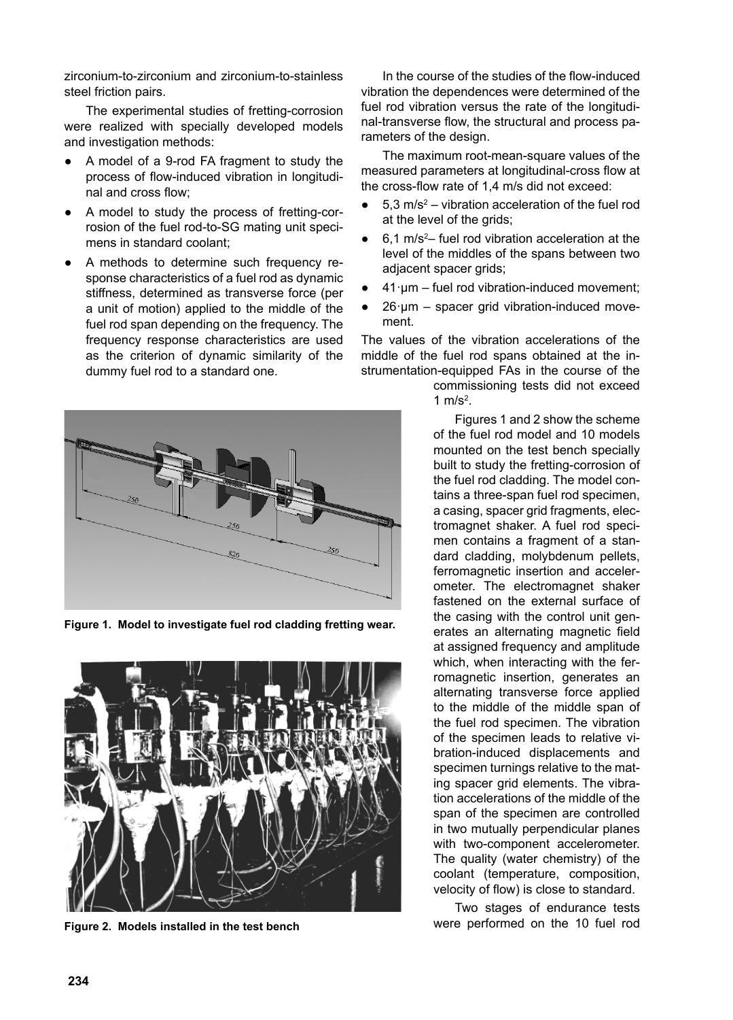zirconium-to-zirconium and zirconium-to-stainless steel friction pairs.

The experimental studies of fretting-corrosion were realized with specially developed models and investigation methods:

- A model of a 9-rod FA fragment to study the process of flow-induced vibration in longitudinal and cross flow;
- A model to study the process of fretting-corrosion of the fuel rod-to-SG mating unit specimens in standard coolant;
- A methods to determine such frequency response characteristics of a fuel rod as dynamic stiffness, determined as transverse force (per a unit of motion) applied to the middle of the fuel rod span depending on the frequency. The frequency response characteristics are used as the criterion of dynamic similarity of the dummy fuel rod to a standard one.



**Figure 1. Model to investigate fuel rod cladding fretting wear.**



**Figure 2. Models installed in the test bench**

In the course of the studies of the flow-induced vibration the dependences were determined of the fuel rod vibration versus the rate of the longitudinal-transverse flow, the structural and process parameters of the design.

The maximum root-mean-square values of the measured parameters at longitudinal-cross flow at the cross-flow rate of  $1.4$  m/s did not exceed:

- $\bullet$  5,3 m/s<sup>2</sup> vibration acceleration of the fuel rod at the level of the grids;
- $\bullet$  6,1 m/s<sup>2</sup> fuel rod vibration acceleration at the level of the middles of the spans between two adjacent spacer grids;
- $41 \cdot \mu m$  fuel rod vibration-induced movement;
- $26 \cdot \text{um}$  spacer grid vibration-induced movement.

The values of the vibration accelerations of the middle of the fuel rod spans obtained at the instrumentation-equipped FAs in the course of the

> commissioning tests did not exceed 1  $m/s<sup>2</sup>$ .

Figures 1 and 2 show the scheme of the fuel rod model and 10 models mounted on the test bench specially built to study the fretting-corrosion of the fuel rod cladding. The model contains a three-span fuel rod specimen, a casing, spacer grid fragments, electromagnet shaker. A fuel rod specimen contains a fragment of a standard cladding, molybdenum pellets, ferromagnetic insertion and accelerometer. The electromagnet shaker fastened on the external surface of the casing with the control unit generates an alternating magnetic field at assigned frequency and amplitude which, when interacting with the ferromagnetic insertion, generates an alternating transverse force applied to the middle of the middle span of the fuel rod specimen. The vibration of the specimen leads to relative vibration-induced displacements and specimen turnings relative to the mating spacer grid elements. The vibration accelerations of the middle of the span of the specimen are controlled in two mutually perpendicular planes with two-component accelerometer. The quality (water chemistry) of the coolant (temperature, composition, velocity of flow) is close to standard.

Two stages of endurance tests were performed on the 10 fuel rod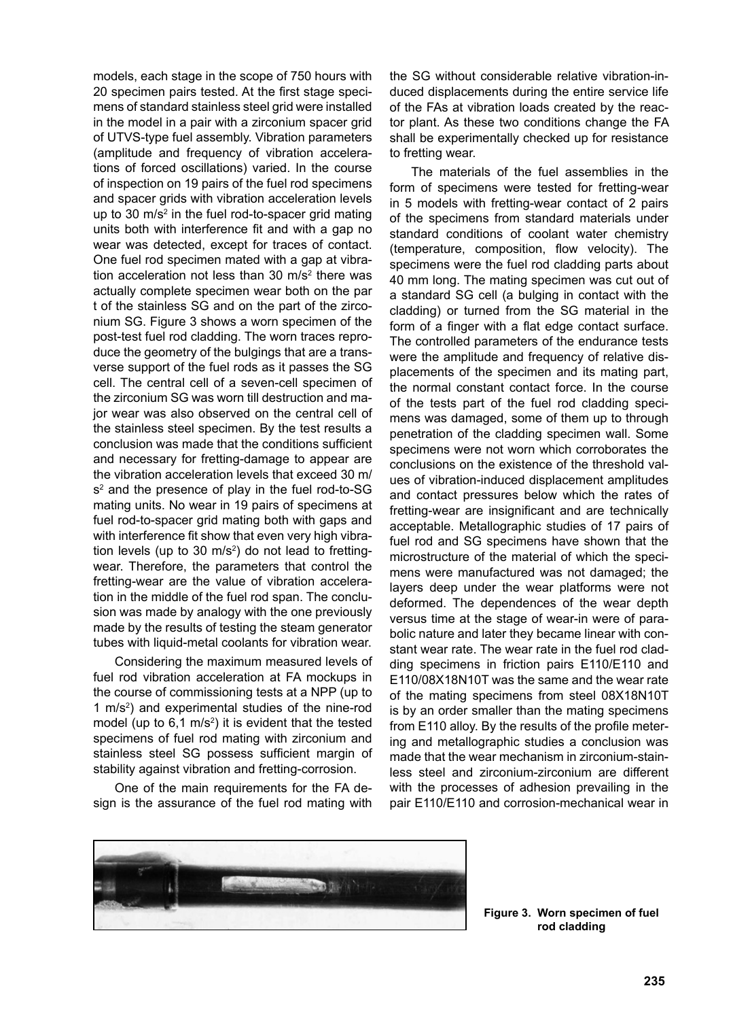models, each stage in the scope of 750 hours with 20 specimen pairs tested. At the first stage specimens of standard stainless steel grid were installed in the model in a pair with a zirconium spacer grid of UTVS-type fuel assembly. Vibration parameters (amplitude and frequency of vibration accelerations of forced oscillations) varied. In the course of inspection on 19 pairs of the fuel rod specimens and spacer grids with vibration acceleration levels up to 30  $\text{m/s}^2$  in the fuel rod-to-spacer grid mating units both with interference fit and with a gap no wear was detected, except for traces of contact. One fuel rod specimen mated with a gap at vibration acceleration not less than 30  $m/s<sup>2</sup>$  there was actually complete specimen wear both on the par t of the stainless SG and on the part of the zirconium SG. Figure 3 shows a worn specimen of the post-test fuel rod cladding. The worn traces reproduce the geometry of the bulgings that are a transverse support of the fuel rods as it passes the SG cell. The central cell of a seven-cell specimen of the zirconium SG was worn till destruction and major wear was also observed on the central cell of the stainless steel specimen. By the test results a conclusion was made that the conditions sufficient and necessary for fretting-damage to appear are the vibration acceleration levels that exceed 30 m/ s<sup>2</sup> and the presence of play in the fuel rod-to-SG mating units. No wear in 19 pairs of specimens at fuel rod-to-spacer grid mating both with gaps and with interference fit show that even very high vibration levels (up to 30 m/s<sup>2</sup>) do not lead to frettingwear. Therefore, the parameters that control the fretting-wear are the value of vibration acceleration in the middle of the fuel rod span. The conclusion was made by analogy with the one previously made by the results of testing the steam generator tubes with liquid-metal coolants for vibration wear.

Considering the maximum measured levels of fuel rod vibration acceleration at FA mockups in the course of commissioning tests at a NPP (up to 1 m/s2 ) and experimental studies of the nine-rod model (up to  $6,1 \text{ m/s}^2$ ) it is evident that the tested specimens of fuel rod mating with zirconium and stainless steel SG possess sufficient margin of stability against vibration and fretting-corrosion.

One of the main requirements for the FA design is the assurance of the fuel rod mating with the SG without considerable relative vibration-induced displacements during the entire service life of the FAs at vibration loads created by the reactor plant. As these two conditions change the FA shall be experimentally checked up for resistance to fretting wear.

The materials of the fuel assemblies in the form of specimens were tested for fretting-wear in 5 models with fretting-wear contact of 2 pairs of the specimens from standard materials under standard conditions of coolant water chemistry (temperature, composition, flow velocity). The specimens were the fuel rod cladding parts about 40 mm long. The mating specimen was cut out of a standard SG cell (a bulging in contact with the cladding) or turned from the SG material in the form of a finger with a flat edge contact surface. The controlled parameters of the endurance tests were the amplitude and frequency of relative displacements of the specimen and its mating part, the normal constant contact force. In the course of the tests part of the fuel rod cladding specimens was damaged, some of them up to through penetration of the cladding specimen wall. Some specimens were not worn which corroborates the conclusions on the existence of the threshold values of vibration-induced displacement amplitudes and contact pressures below which the rates of fretting-wear are insignificant and are technically acceptable. Metallographic studies of 17 pairs of fuel rod and SG specimens have shown that the microstructure of the material of which the specimens were manufactured was not damaged; the layers deep under the wear platforms were not deformed. The dependences of the wear depth versus time at the stage of wear-in were of parabolic nature and later they became linear with constant wear rate. The wear rate in the fuel rod cladding specimens in friction pairs E110/E110 and E110/08X18N10T was the same and the wear rate of the mating specimens from steel 08X18N10T is by an order smaller than the mating specimens from E110 alloy. By the results of the profile metering and metallographic studies a conclusion was made that the wear mechanism in zirconium-stainless steel and zirconium-zirconium are different with the processes of adhesion prevailing in the pair E110/E110 and corrosion-mechanical wear in



**Figure 3. Worn specimen of fuel rod cladding**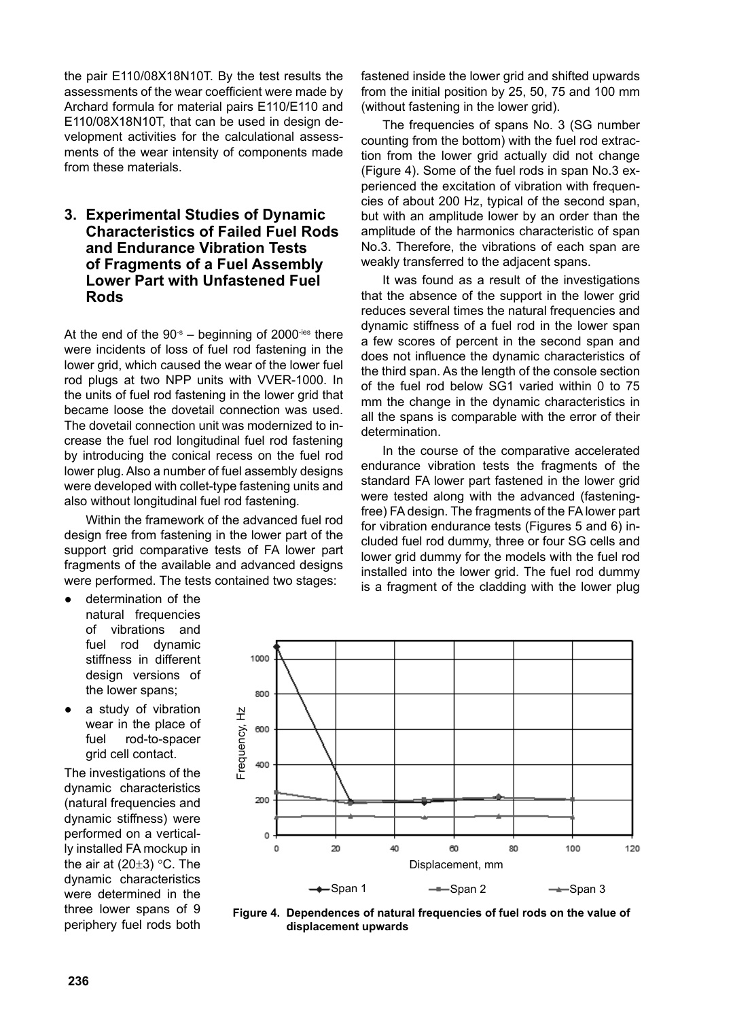the pair E110/08X18N10T. By the test results the assessments of the wear coefficient were made by Archard formula for material pairs E110/E110 and E110/08X18N10T, that can be used in design development activities for the calculational assessments of the wear intensity of components made from these materials.

#### **3. Experimental Studies of Dynamic Characteristics of Failed Fuel Rods and Endurance Vibration Tests of Fragments of a Fuel Assembly Lower Part with Unfastened Fuel Rods**

At the end of the  $90 - s$  beginning of 2000<sup>-ies</sup> there were incidents of loss of fuel rod fastening in the lower grid, which caused the wear of the lower fuel rod plugs at two NPP units with VVER-1000. In the units of fuel rod fastening in the lower grid that became loose the dovetail connection was used. The dovetail connection unit was modernized to increase the fuel rod longitudinal fuel rod fastening by introducing the conical recess on the fuel rod lower plug. Also a number of fuel assembly designs were developed with collet-type fastening units and also without longitudinal fuel rod fastening.

Within the framework of the advanced fuel rod design free from fastening in the lower part of the support grid comparative tests of FA lower part fragments of the available and advanced designs were performed. The tests contained two stages:

- determination of the natural frequencies of vibrations and fuel rod dynamic stiffness in different design versions of the lower spans;
- a study of vibration wear in the place of fuel rod-to-spacer grid cell contact.

The investigations of the dynamic characteristics (natural frequencies and dynamic stiffness) were performed on a vertically installed FA mockup in the air at  $(20\pm3)$  °C. The dynamic characteristics were determined in the three lower spans of 9 periphery fuel rods both fastened inside the lower grid and shifted upwards from the initial position by 25, 50, 75 and 100 mm (without fastening in the lower grid).

The frequencies of spans No. 3 (SG number counting from the bottom) with the fuel rod extraction from the lower grid actually did not change (Figure 4). Some of the fuel rods in span No.3 experienced the excitation of vibration with frequencies of about 200 Hz, typical of the second span, but with an amplitude lower by an order than the amplitude of the harmonics characteristic of span No.3. Therefore, the vibrations of each span are weakly transferred to the adjacent spans.

It was found as a result of the investigations that the absence of the support in the lower grid reduces several times the natural frequencies and dynamic stiffness of a fuel rod in the lower span a few scores of percent in the second span and does not influence the dynamic characteristics of the third span. As the length of the console section of the fuel rod below SG1 varied within 0 to 75 mm the change in the dynamic characteristics in all the spans is comparable with the error of their determination.

In the course of the comparative accelerated endurance vibration tests the fragments of the standard FA lower part fastened in the lower grid were tested along with the advanced (fasteningfree) FA design. The fragments of the FA lower part for vibration endurance tests (Figures 5 and 6) included fuel rod dummy, three or four SG cells and lower grid dummy for the models with the fuel rod installed into the lower grid. The fuel rod dummy is a fragment of the cladding with the lower plug



**Figure 4. Dependences of natural frequencies of fuel rods on the value of displacement upwards**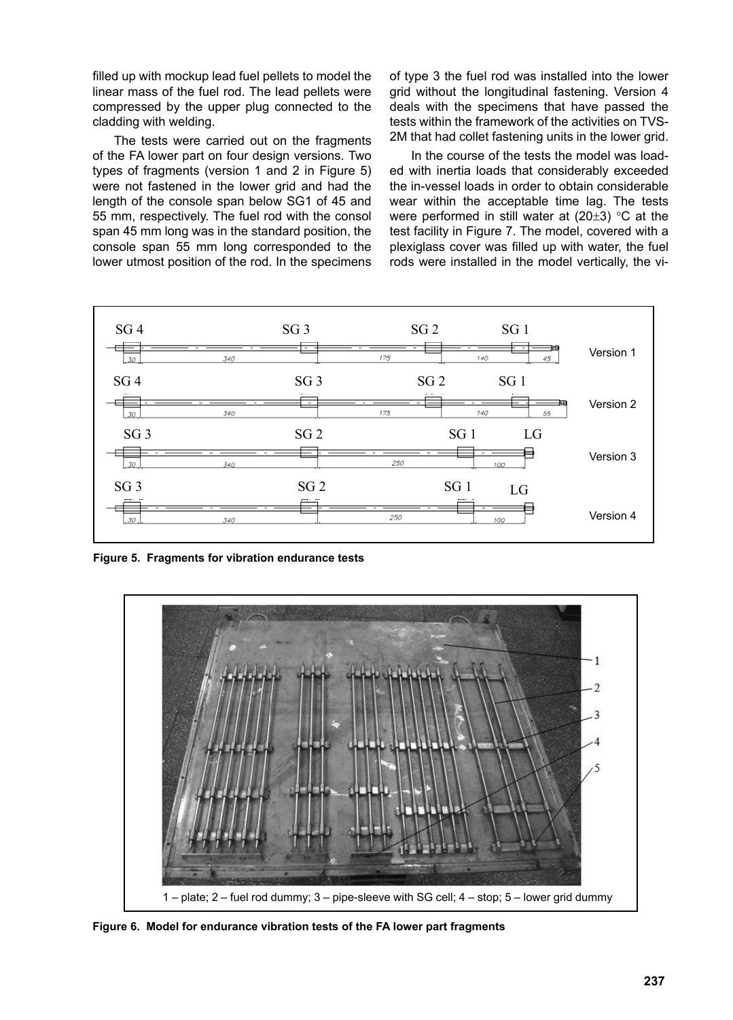filled up with mockup lead fuel pellets to model the linear mass of the fuel rod. The lead pellets were compressed by the upper plug connected to the cladding with welding.

The tests were carried out on the fragments of the FA lower part on four design versions. Two types of fragments (version 1 and 2 in Figure 5) were not fastened in the lower grid and had the length of the console span below SG1 of 45 and 55 mm, respectively. The fuel rod with the consol span 45 mm long was in the standard position, the console span 55 mm long corresponded to the lower utmost position of the rod. In the specimens

of type 3 the fuel rod was installed into the lower grid without the longitudinal fastening. Version 4 deals with the specimens that have passed the tests within the framework of the activities on TVS-2M that had collet fastening units in the lower grid.

In the course of the tests the model was loaded with inertia loads that considerably exceeded the in-vessel loads in order to obtain considerable wear within the acceptable time lag. The tests were performed in still water at  $(20±3)$  °C at the test facility in Figure 7. The model, covered with a plexiglass cover was filled up with water, the fuel rods were installed in the model vertically, the vi-



**Figure 5. Fragments for vibration endurance tests**



**Figure 6. Model for endurance vibration tests of the FA lower part fragments**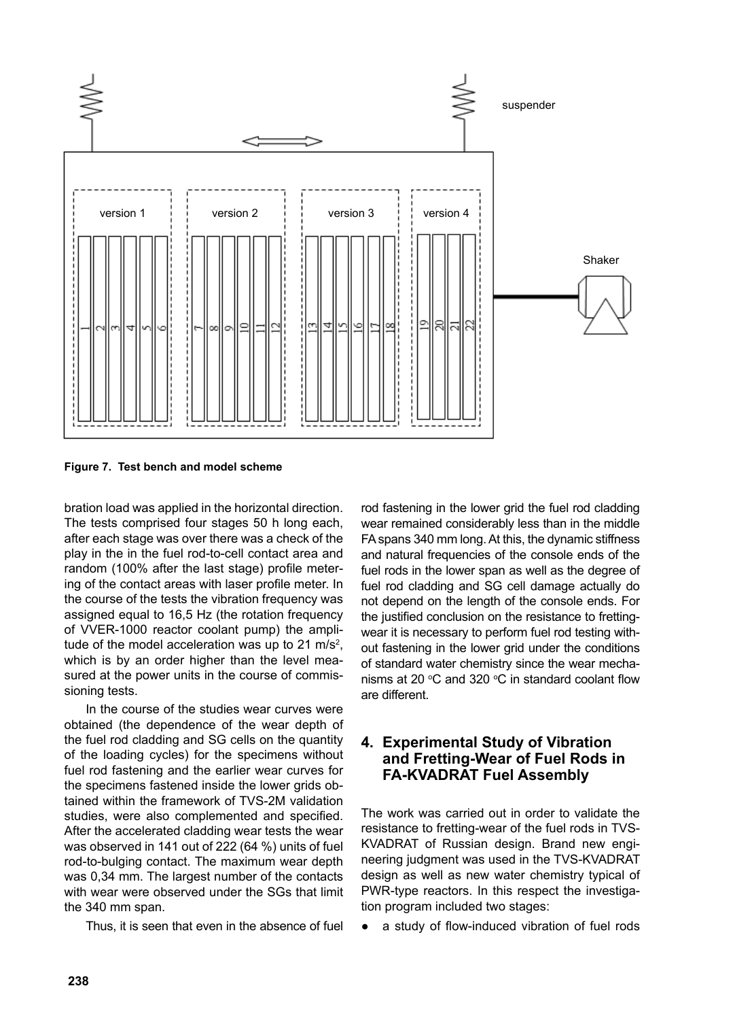

**Figure 7. Test bench and model scheme**

bration load was applied in the horizontal direction. The tests comprised four stages 50 h long each, after each stage was over there was a check of the play in the in the fuel rod-to-cell contact area and random (100% after the last stage) profile metering of the contact areas with laser profile meter. In the course of the tests the vibration frequency was assigned equal to 16,5 Hz (the rotation frequency of VVER-1000 reactor coolant pump) the amplitude of the model acceleration was up to 21  $\text{m/s}^2$ , which is by an order higher than the level measured at the power units in the course of commissioning tests.

In the course of the studies wear curves were obtained (the dependence of the wear depth of the fuel rod cladding and SG cells on the quantity of the loading cycles) for the specimens without fuel rod fastening and the earlier wear curves for the specimens fastened inside the lower grids obtained within the framework of TVS-2M validation studies, were also complemented and specified. After the accelerated cladding wear tests the wear was observed in 141 out of 222 (64 %) units of fuel rod-to-bulging contact. The maximum wear depth was 0,34 mm. The largest number of the contacts with wear were observed under the SGs that limit the 340 mm span.

Thus, it is seen that even in the absence of fuel

rod fastening in the lower grid the fuel rod cladding wear remained considerably less than in the middle FA spans 340 mm long. At this, the dynamic stiffness and natural frequencies of the console ends of the fuel rods in the lower span as well as the degree of fuel rod cladding and SG cell damage actually do not depend on the length of the console ends. For the justified conclusion on the resistance to frettingwear it is necessary to perform fuel rod testing without fastening in the lower grid under the conditions of standard water chemistry since the wear mechanisms at 20 $\degree$ C and 320  $\degree$ C in standard coolant flow are different.

#### **4. Experimental Study of Vibration and Fretting-Wear of Fuel Rods in FA-KVADRAT Fuel Assembly**

The work was carried out in order to validate the resistance to fretting-wear of the fuel rods in TVS-KVADRAT of Russian design. Brand new engineering judgment was used in the TVS-KVADRAT design as well as new water chemistry typical of PWR-type reactors. In this respect the investigation program included two stages:

a study of flow-induced vibration of fuel rods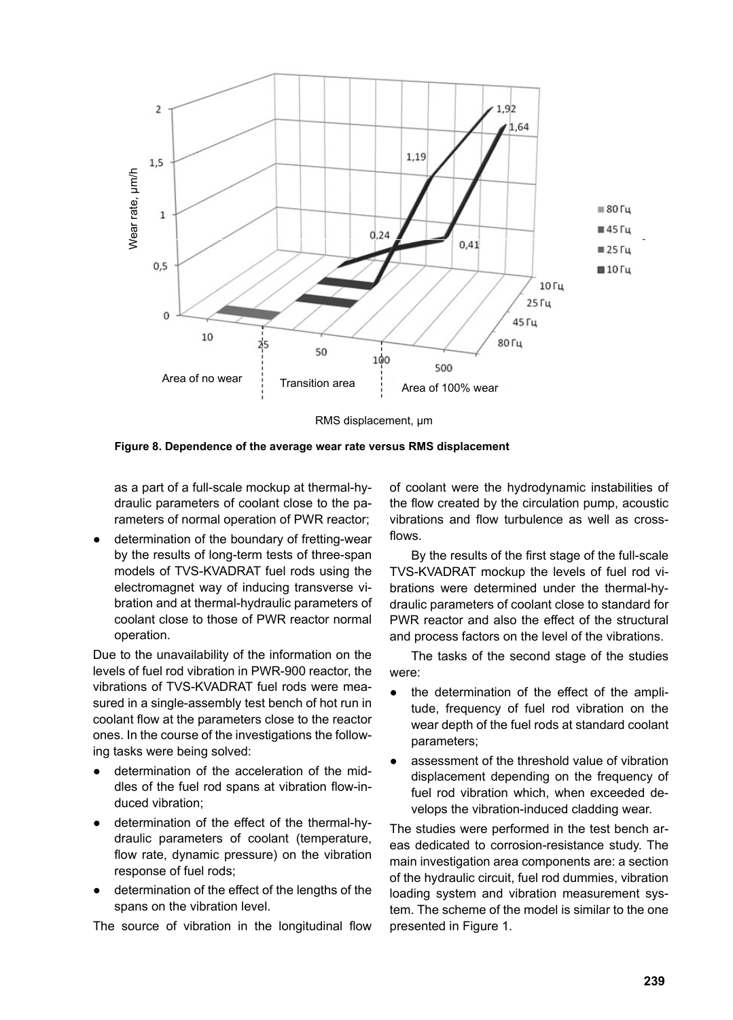

RMS displacement, μm

as a part of a full-scale mockup at thermal-hydraulic parameters of coolant close to the parameters of normal operation of PWR reactor;

● determination of the boundary of fretting-wear by the results of long-term tests of three-span models of TVS-KVADRAT fuel rods using the electromagnet way of inducing transverse vibration and at thermal-hydraulic parameters of coolant close to those of PWR reactor normal operation.

Due to the unavailability of the information on the levels of fuel rod vibration in PWR-900 reactor, the vibrations of TVS-KVADRAT fuel rods were measured in a single-assembly test bench of hot run in coolant flow at the parameters close to the reactor ones. In the course of the investigations the following tasks were being solved:

- determination of the acceleration of the middles of the fuel rod spans at vibration flow-induced vibration;
- determination of the effect of the thermal-hydraulic parameters of coolant (temperature, flow rate, dynamic pressure) on the vibration response of fuel rods;
- determination of the effect of the lengths of the spans on the vibration level.

The source of vibration in the longitudinal flow

of coolant were the hydrodynamic instabilities of the flow created by the circulation pump, acoustic vibrations and flow turbulence as well as crossflows.

By the results of the first stage of the full-scale TVS-KVADRAT mockup the levels of fuel rod vibrations were determined under the thermal-hydraulic parameters of coolant close to standard for PWR reactor and also the effect of the structural and process factors on the level of the vibrations.

The tasks of the second stage of the studies were:

- the determination of the effect of the amplitude, frequency of fuel rod vibration on the wear depth of the fuel rods at standard coolant parameters;
- assessment of the threshold value of vibration displacement depending on the frequency of fuel rod vibration which, when exceeded develops the vibration-induced cladding wear.

The studies were performed in the test bench areas dedicated to corrosion-resistance study. The main investigation area components are: a section of the hydraulic circuit, fuel rod dummies, vibration loading system and vibration measurement system. The scheme of the model is similar to the one presented in Figure 1.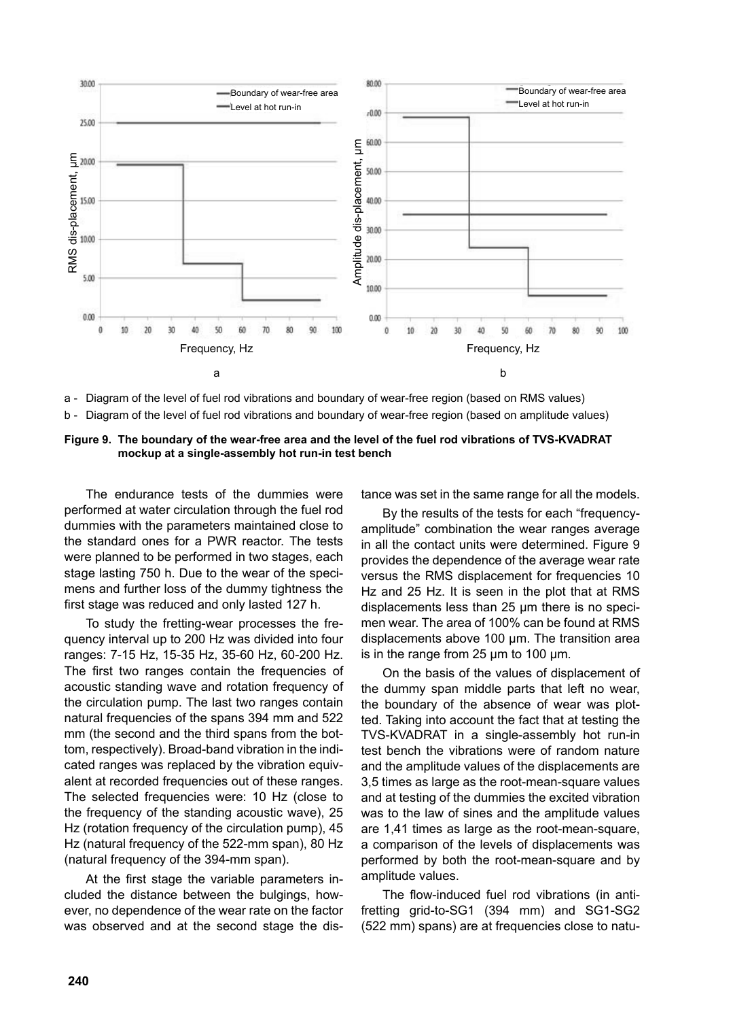

a - Diagram of the level of fuel rod vibrations and boundary of wear-free region (based on RMS values)

b - Diagram of the level of fuel rod vibrations and boundary of wear-free region (based on amplitude values)

**Figure 9. The boundary of the wear-free area and the level of the fuel rod vibrations of TVS-KVADRAT mockup at a single-assembly hot run-in test bench**

The endurance tests of the dummies were performed at water circulation through the fuel rod dummies with the parameters maintained close to the standard ones for a PWR reactor. The tests were planned to be performed in two stages, each stage lasting 750 h. Due to the wear of the specimens and further loss of the dummy tightness the first stage was reduced and only lasted 127 h.

To study the fretting-wear processes the frequency interval up to 200 Hz was divided into four ranges: 7-15 Hz, 15-35 Hz, 35-60 Hz, 60-200 Hz. The first two ranges contain the frequencies of acoustic standing wave and rotation frequency of the circulation pump. The last two ranges contain natural frequencies of the spans 394 mm and 522 mm (the second and the third spans from the bottom, respectively). Broad-band vibration in the indicated ranges was replaced by the vibration equivalent at recorded frequencies out of these ranges. The selected frequencies were: 10 Hz (close to the frequency of the standing acoustic wave), 25 Hz (rotation frequency of the circulation pump), 45 Hz (natural frequency of the 522-mm span), 80 Hz (natural frequency of the 394-mm span).

At the first stage the variable parameters included the distance between the bulgings, however, no dependence of the wear rate on the factor was observed and at the second stage the distance was set in the same range for all the models.

By the results of the tests for each "frequencyamplitude" combination the wear ranges average in all the contact units were determined. Figure 9 provides the dependence of the average wear rate versus the RMS displacement for frequencies 10 Hz and 25 Hz. It is seen in the plot that at RMS displacements less than 25 μm there is no specimen wear. The area of 100% can be found at RMS displacements above 100 μm. The transition area is in the range from 25 μm to 100 μm.

On the basis of the values of displacement of the dummy span middle parts that left no wear, the boundary of the absence of wear was plotted. Taking into account the fact that at testing the TVS-KVADRAT in a single-assembly hot run-in test bench the vibrations were of random nature and the amplitude values of the displacements are 3,5 times as large as the root-mean-square values and at testing of the dummies the excited vibration was to the law of sines and the amplitude values are 1,41 times as large as the root-mean-square, a comparison of the levels of displacements was performed by both the root-mean-square and by amplitude values.

The flow-induced fuel rod vibrations (in antifretting grid-to-SG1 (394 mm) and SG1-SG2 (522 mm) spans) are at frequencies close to natu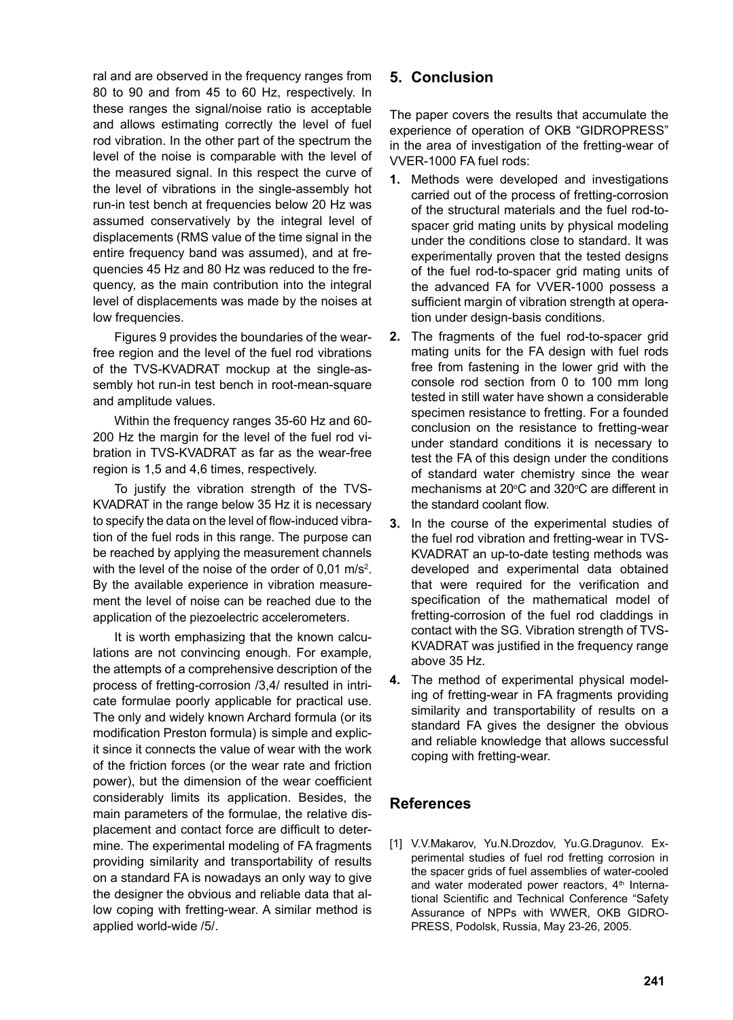ral and are observed in the frequency ranges from 80 to 90 and from 45 to 60 Hz, respectively. In these ranges the signal/noise ratio is acceptable and allows estimating correctly the level of fuel rod vibration. In the other part of the spectrum the level of the noise is comparable with the level of the measured signal. In this respect the curve of the level of vibrations in the single-assembly hot run-in test bench at frequencies below 20 Hz was assumed conservatively by the integral level of displacements (RMS value of the time signal in the entire frequency band was assumed), and at frequencies 45 Hz and 80 Hz was reduced to the frequency, as the main contribution into the integral level of displacements was made by the noises at low frequencies.

Figures 9 provides the boundaries of the wearfree region and the level of the fuel rod vibrations of the TVS-KVADRAT mockup at the single-assembly hot run-in test bench in root-mean-square and amplitude values.

Within the frequency ranges 35-60 Hz and 60- 200 Hz the margin for the level of the fuel rod vibration in TVS-KVADRAT as far as the wear-free region is 1,5 and 4,6 times, respectively.

To justify the vibration strength of the TVS-KVADRAT in the range below 35 Hz it is necessary to specify the data on the level of flow-induced vibration of the fuel rods in this range. The purpose can be reached by applying the measurement channels with the level of the noise of the order of 0,01 m/s<sup>2</sup>. By the available experience in vibration measurement the level of noise can be reached due to the application of the piezoelectric accelerometers.

It is worth emphasizing that the known calculations are not convincing enough. For example, the attempts of a comprehensive description of the process of fretting-corrosion /3,4/ resulted in intricate formulae poorly applicable for practical use. The only and widely known Archard formula (or its modification Preston formula) is simple and explicit since it connects the value of wear with the work of the friction forces (or the wear rate and friction power), but the dimension of the wear coefficient considerably limits its application. Besides, the main parameters of the formulae, the relative displacement and contact force are difficult to determine. The experimental modeling of FA fragments providing similarity and transportability of results on a standard FA is nowadays an only way to give the designer the obvious and reliable data that allow coping with fretting-wear. A similar method is applied world-wide /5/.

## **5. Conclusion**

The paper covers the results that accumulate the experience of operation of OKB "GIDROPRESS" in the area of investigation of the fretting-wear of VVER-1000 FA fuel rods:

- **1.** Methods were developed and investigations carried out of the process of fretting-corrosion of the structural materials and the fuel rod-tospacer grid mating units by physical modeling under the conditions close to standard. It was experimentally proven that the tested designs of the fuel rod-to-spacer grid mating units of the advanced FA for VVER-1000 possess a sufficient margin of vibration strength at operation under design-basis conditions.
- **2.** The fragments of the fuel rod-to-spacer grid mating units for the FA design with fuel rods free from fastening in the lower grid with the console rod section from 0 to 100 mm long tested in still water have shown a considerable specimen resistance to fretting. For a founded conclusion on the resistance to fretting-wear under standard conditions it is necessary to test the FA of this design under the conditions of standard water chemistry since the wear mechanisms at  $20^{\circ}$ C and  $320^{\circ}$ C are different in the standard coolant flow.
- **3.** In the course of the experimental studies of the fuel rod vibration and fretting-wear in TVS-KVADRAT an up-to-date testing methods was developed and experimental data obtained that were required for the verification and specification of the mathematical model of fretting-corrosion of the fuel rod claddings in contact with the SG. Vibration strength of TVS-KVADRAT was justified in the frequency range above 35 Hz.
- **4.** The method of experimental physical modeling of fretting-wear in FA fragments providing similarity and transportability of results on a standard FA gives the designer the obvious and reliable knowledge that allows successful coping with fretting-wear.

#### **References**

[1] V.V.Makarov, Yu.N.Drozdov, Yu.G.Dragunov. Experimental studies of fuel rod fretting corrosion in the spacer grids of fuel assemblies of water-cooled and water moderated power reactors, 4<sup>th</sup> International Scientific and Technical Conference "Safety Assurance of NPPs with WWER, OKB GIDRO-PRESS, Podolsk, Russia, May 23-26, 2005.